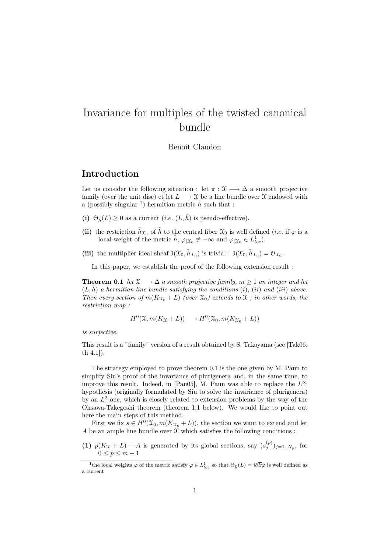# Invariance for multiples of the twisted canonical bundle

Benoît Claudon

# Introduction

Let us consider the following situation : let  $\pi : \mathfrak{X} \longrightarrow \Delta$  a smooth projective family (over the unit disc) et let  $L \longrightarrow \mathfrak{X}$  be a line bundle over  $\mathfrak{X}$  endowed with a (possibly singular <sup>1</sup>) hermitian metric  $\tilde{h}$  such that :

- (i)  $\Theta_{\tilde{h}}(L) \geq 0$  as a current (*i.e.*  $(L, \tilde{h})$  is pseudo-effective).
- (ii) the restriction  $\tilde{h}_{\mathfrak{X}_0}$  of  $\tilde{h}$  to the central fiber  $\mathfrak{X}_0$  is well defined (*i.e.* if  $\varphi$  is a local weight of the metric  $\tilde{h}$ ,  $\varphi_{\vert \mathfrak{X}_{0}} \not\equiv -\infty$  and  $\varphi_{\vert \mathfrak{X}_{0}} \in L^{1}_{loc}$ .
- (iii) the multiplier ideal sheaf  $\mathfrak{I}(\mathfrak{X}_0, \tilde{h}_{\mathfrak{X}_0})$  is trivial :  $\mathfrak{I}(\mathfrak{X}_0, \tilde{h}_{\mathfrak{X}_0}) = \mathfrak{O}_{\mathfrak{X}_0}$ .

In this paper, we establish the proof of the following extension result :

**Theorem 0.1** let  $\mathfrak{X} \longrightarrow \Delta$  a smooth projective family,  $m \geq 1$  an integer and let  $(L, \tilde{h})$  a hermitian line bundle satisfying the conditions (i), (ii) and (iii) above. Then every section of  $m(K_{\mathfrak{X}_0}+L)$  (over  $\mathfrak{X}_0$ ) extends to  $\mathfrak{X}$ ; in other words, the restriction map :

$$
H^{0}(\mathfrak{X}, m(K_{\mathfrak{X}}+L)) \longrightarrow H^{0}(\mathfrak{X}_{0}, m(K_{\mathfrak{X}_{0}}+L))
$$

is surjective.

This result is a "family" version of a result obtained by S. Takayama (see [Tak06, th 4.1]).

The strategy employed to prove theorem 0.1 is the one given by M. Paun to simplify Siu's proof of the invariance of plurigenera and, in the same time, to improve this result. Indeed, in [Pau05], M. Paun was able to replace the  $L^{\infty}$ hypothesis (originally formulated by Siu to solve the invariance of plurigenera) by an  $L^2$  one, which is closely related to extension problems by the way of the Ohsawa-Takegoshi theorem (theorem 1.1 below). We would like to point out here the main steps of this method.

First we fix  $s \in H^0(\mathfrak{X}_0, m(K_{\mathfrak{X}_0}+L))$ , the section we want to extend and let A be an ample line bundle over  $\mathfrak X$  which satisfies the following conditions :

(1)  $p(K_X + L) + A$  is generated by its global sections, say  $(s_j^{(p)})_{j=1..N_p}$ , for  $0 \le p \le m - 1$ 

<sup>&</sup>lt;sup>1</sup>the local weights  $\varphi$  of the metric satisfy  $\varphi \in L^1_{loc}$  so that  $\Theta_{\tilde{h}}(L) = i\partial\overline{\partial}\varphi$  is well defined as a current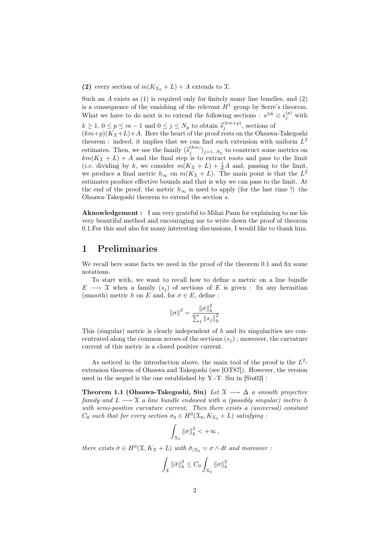#### (2) every section of  $m(K_{\mathfrak{X}_0}+L)+A$  extends to X.

Such an  $A$  exists as  $(1)$  is required only for finitely many line bundles, and  $(2)$ is a consequence of the vanishing of the relevant  $H<sup>1</sup>$  group by Serre's theorem. What we have to do next is to extend the following sections :  $s^{\otimes k} \otimes s_j^{(p)}$  with  $k \geq 1, 0 \leq p \leq m-1$  and  $0 \leq j \leq N_p$  to obtain  $\tilde{s}_j^{(km+p)}$ , sections of  $(km+n)(K_{\text{ext}}+I)+4$ . Here the beart of the proof rests on the Observe  $(km+p)(K_X+L)+A$ . Here the heart of the proof rests on the Ohsawa-Takegoshi theorem : indeed, it implies that we can find such extension with uniform  $L^2$ estimates. Then, we use the family  $(\tilde{s}_j^{(km)})_{j=1..N_p}$  to construct some metrics on  $km(K_{2n+1}, L_{n+1})$  and the final step is to extract roots and pass to the limit  $km(K_X + L) + A$  and the final step is to extract roots and pass to the limit (*i.e.* dividing by k, we consider  $m(K_X + L) + \frac{1}{k}A$  and, passing to the limit, we produce a final metric  $h_{\infty}$  on  $m(K_{\mathfrak{X}}+L)$ . The main point is that the  $L^2$ estimates produce effective bounds and that is why we can pass to the limit. At the end of the proof, the metric  $h_{\infty}$  is used to apply (for the last time !) the Ohsawa-Takegoshi theorem to extend the section  $s$ .

Aknowledgement : I am very grateful to Mihai Paun for explaining to me his very beautiful method and encouraging me to write down the proof of theorem 0.1.For this and also for many interesting discussions, I would like to thank him.

# 1 Preliminaries

We recall here some facts we need in the proof of the theorem 0.1 and fix some notations.

To start with, we want to recall how to define a metric on a line bundle  $E \longrightarrow \mathfrak{X}$  when a family  $(s_i)$  of sections of E is given : fix any hermitian (smooth) metric h on E and, for  $\sigma \in E$ , define:

$$
\left\|\sigma\right\|^2 = \frac{\left\|\sigma\right\|_h^2}{\sum_j \left\|s_j\right\|_h^2}
$$

This (singular) metric is clearly independent of  $h$  and its singularities are concentrated along the common zeroes of the sections  $(s_j)$ ; moreover, the curvature current of this metric is a closed positive current.

As noticed in the introduction above, the main tool of the proof is the  $L^2$ extension theorem of Ohsawa and Takegoshi (see [OT87]). However, the version used in the sequel is the one established by Y.-T. Siu in [Siu02] :

Theorem 1.1 (Ohsawa-Takegoshi, Siu) Let  $\mathfrak{X} \longrightarrow \Delta$  a smooth projective family and  $L \longrightarrow \mathcal{X}$  a line bundle endowed with a (possibly singular) metric h with semi-positive curvature current. Then there exists a *(universal)* constant  $C_0$  such that for every section  $\sigma_0 \in H^0(\mathfrak{X}_0, K_{\mathfrak{X}_0} + L)$  satisfying :

$$
\int_{\mathcal{X}_0} \|\sigma\|_h^2 < +\infty \,,
$$

there exists  $\tilde{\sigma} \in H^0(\mathfrak{X}, K_{\mathfrak{X}} + L)$  with  $\tilde{\sigma}_{|\mathfrak{X}_0} = \sigma \wedge dt$  and moreover :

$$
\int_{\mathcal{X}} \|\tilde{\sigma}\|_{h}^{2} \leq C_{0} \int_{\mathcal{X}_{0}} \|\sigma\|_{h}^{2}
$$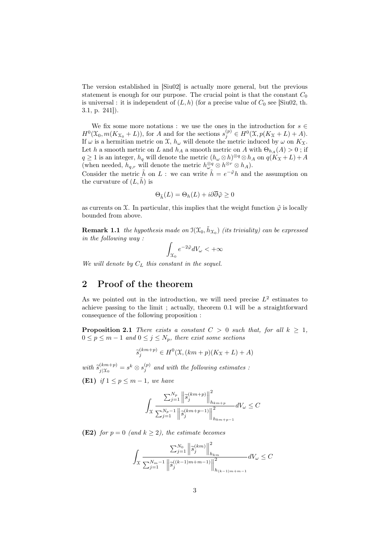The version established in [Siu02] is actually more general, but the previous statement is enough for our purpose. The crucial point is that the constant  $C_0$ is universal : it is independent of  $(L, h)$  (for a precise value of  $C_0$  see [Siu02, th. 3.1, p. 241]).

We fix some more notations : we use the ones in the introduction for  $s \in \mathbb{R}$  $H^0(\mathfrak{X}_0, m(K_{\mathfrak{X}_0}+L))$ , for A and for the sections  $s_j^{(p)} \in H^0(\mathfrak{X}, p(K_{\mathfrak{X}}+L)+A)$ . If  $\omega$  is a hermitian metric on  $\mathfrak{X}, h_{\omega}$  will denote the metric induced by  $\omega$  on  $K_{\mathfrak{X}}$ . Let h a smooth metric on L and  $h_A$  a smooth metric on A with  $\Theta_{h_A}(A) > 0$ ; if  $q \geq 1$  is an integer,  $h_q$  will denote the metric  $(h_\omega \otimes h)^{\otimes q} \otimes h_A$  on  $q(K_X + L) + A$ (when needed,  $h_{q,r}$  will denote the metric  $h^{\otimes q}_{\omega} \otimes h^{\otimes r} \otimes h_A$ ).

Consider the metric  $\tilde{h}$  on L : we can write  $\tilde{h} = e^{-\tilde{\varphi}}h$  and the assumption on the curvature of  $(L, \tilde{h})$  is

$$
\Theta_{\tilde{h}}(L) = \Theta_h(L) + i\partial\overline{\partial}\tilde{\varphi} \ge 0
$$

as currents on  $\mathfrak X$ . In particular, this implies that the weight function  $\tilde{\varphi}$  is locally bounded from above.

**Remark 1.1** the hypothesis made on  $\mathfrak{I}(\mathfrak{X}_0, \tilde{h}_{\mathfrak{X}_0})$  (its triviality) can be expressed in the following way :

$$
\int_{\mathcal{X}_0} e^{-2\tilde{\varphi}} dV_{\omega} < +\infty
$$

We will denote by  $C_L$  this constant in the sequel.

# 2 Proof of the theorem

As we pointed out in the introduction, we will need precise  $L^2$  estimates to achieve passing to the limit ; actually, theorem 0.1 will be a straightforward consequence of the following proposition :

**Proposition 2.1** There exists a constant  $C > 0$  such that, for all  $k \geq 1$ ,  $0 \le p \le m-1$  and  $0 \le j \le N_p$ , there exist some sections

$$
\widetilde{s}_j^{(km+p)} \in H^0(\mathfrak{X}, (km+p)(K_{\mathfrak{X}}+L)+A)
$$

with  $\widetilde{s}_{j|\mathfrak{X}_0}^{(km+p)}$  $\frac{(km+p)}{j| \mathfrak{X}_0} = s^k \otimes s_j^{(p)}$  and with the following estimates :

(E1) if  $1 \leq p \leq m-1$ , we have

$$
\int_{\mathcal{X}}\frac{\sum_{j=1}^{N_{p}}\left\|\tilde{s}_{j}^{(km+p)}\right\|^{2}_{h_{km+p}}}{\sum_{j=1}^{N_{p}-1}\left\|\tilde{s}_{j}^{(km+p-1)}\right\|^{2}_{h_{km+p-1}}}dV_{\omega}\leq C
$$

(E2) for  $p = 0$  (and  $k \ge 2$ ), the estimate becomes

$$
\int_{\mathcal{X}}\frac{\sum_{j=1}^{N_{0}}\left\|\widetilde{s}_{j}^{(km)}\right\|^{2}_{h_{km}}}{\sum_{j=1}^{N_{m}-1}\left\|\widetilde{s}_{j}^{((k-1)m+m-1)}\right\|^{2}_{h_{(k-1)m+m-1}}}dV_{\omega}\leq C
$$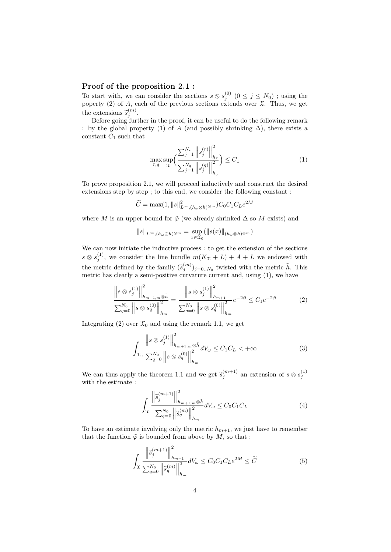#### Proof of the proposition 2.1 :

To start with, we can consider the sections  $s \otimes s_j^{(0)}$   $(0 \leq j \leq N_0)$ ; using the poperty  $(2)$  of A, each of the previous sections extends over  $\mathfrak{X}$ . Thus, we get the extensions  $\tilde{s}_j^{(m)}$ .<br>Before going furt

Before going further in the proof, it can be useful to do the following remark : by the global property (1) of A (and possibly shrinking  $\Delta$ ), there exists a constant  $C_1$  such that

$$
\max_{r,q} \sup_{\mathcal{X}} \left( \frac{\sum_{j=1}^{N_r} \left\| s_j^{(r)} \right\|_{h_r}^2}{\sum_{j=1}^{N_q} \left\| s_j^{(q)} \right\|_{h_q}^2} \right) \le C_1 \tag{1}
$$

To prove proposition 2.1, we will proceed inductively and construct the desired extensions step by step ; to this end, we consider the following constant :

$$
\widetilde{C} = \max(1, \|s\|_{L^{\infty}, (h_{\omega} \otimes h)^{\otimes m}}^2) C_0 C_1 C_L e^{2M}
$$

where M is an upper bound for  $\tilde{\varphi}$  (we already shrinked  $\Delta$  so M exists) and

$$
||s||_{L^{\infty},(h_{\omega}\otimes h)^{\otimes m}} = \sup_{x\in\mathfrak{X}_0} (||s(x)||_{(h_{\omega}\otimes h)^{\otimes m}})
$$

We can now initiate the inductive process : to get the extension of the sections  $s \otimes s_j^{(1)}$ , we consider the line bundle  $m(K_X + L) + A + L$  we endowed with the metric defined by the family  $(\tilde{s}_j^{(m)})_{j=0..N_0}$  twisted with the metric  $\tilde{h}$ . This metric has clearly a semi-positive curvature current and, using (1), we have

$$
\frac{\left\|s\otimes s_j^{(1)}\right\|_{h_{m+1,m}\otimes\tilde{h}}^2}{\sum_{q=0}^{N_0}\left\|s\otimes s_q^{(0)}\right\|_{h_m}^2} = \frac{\left\|s\otimes s_j^{(1)}\right\|_{h_{m+1}}^2}{\sum_{q=0}^{N_0}\left\|s\otimes s_q^{(0)}\right\|_{h_m}^2}e^{-2\tilde{\varphi}} \leq C_1e^{-2\tilde{\varphi}} \tag{2}
$$

Integrating (2) over  $\mathfrak{X}_0$  and using the remark 1.1, we get

$$
\int_{\mathcal{X}_0} \frac{\left\|s \otimes s_j^{(1)}\right\|_{h_{m+1,m} \otimes \tilde{h}}^2}{\sum_{q=0}^{N_0} \left\|s \otimes s_q^{(0)}\right\|_{h_m}^2} dV_\omega \le C_1 C_L < +\infty
$$
\n(3)

We can thus apply the theorem 1.1 and we get  $\tilde{s}_j^{(m+1)}$  an extension of  $s \otimes s_j^{(1)}$ with the estimate :

$$
\int_{\mathcal{X}} \frac{\left\| \tilde{s}_{j}^{(m+1)} \right\|_{h_{m+1,m} \otimes \tilde{h}}^{2}}{\sum_{q=0}^{N_{0}} \left\| \tilde{s}_{q}^{(m)} \right\|_{h_{m}}^{2}} dV_{\omega} \leq C_{0} C_{1} C_{L} \tag{4}
$$

To have an estimate involving only the metric  $h_{m+1}$ , we just have to remember that the function  $\tilde{\varphi}$  is bounded from above by  $M$ , so that :

$$
\int_{\mathcal{X}} \frac{\left\| \tilde{s}_{j}^{(m+1)} \right\|_{h_{m+1}}^{2}}{\sum_{q=0}^{N_{0}} \left\| \tilde{s}_{q}^{(m)} \right\|_{h_{m}}^{2}} dV_{\omega} \leq C_{0} C_{1} C_{L} e^{2M} \leq \tilde{C}
$$
\n(5)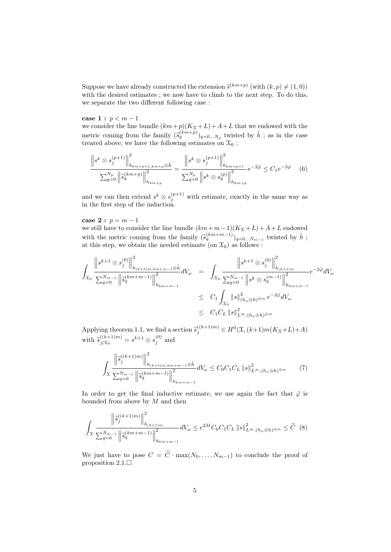Suppose we have already constructed the extension  $\tilde{s}^{(km+p)}$  (with  $(k, p) \neq (1, 0)$ )<br>with the desired estimates : we now have to climb to the next step. To do this with the desired estimates ; we now have to climb to the next step. To do this, we separate the two different following case :

#### case 1 :  $p < m - 1$

we consider the line bundle  $(km+p)(K_X+L)+A+L$  that we endowed with the metric coming from the family  $(\tilde{s}_q^{(km+p)})_{q=0...N_p}$  twisted by  $\tilde{h}$ ; as in the case treated above, we have the following estimates on  $\mathfrak{X}_0$ :

$$
\frac{\left\|s^k \otimes s_j^{(p+1)}\right\|_{h_{km+p+1,km+p}^2}^2}{\sum_{q=0}^{N_p} \left\|\tilde{s}_q^{(km+p)}\right\|_{h_{km+p}^2}^2} = \frac{\left\|s^k \otimes s_j^{(p+1)}\right\|_{h_{km+p+1}}^2}{\sum_{q=0}^{N_p} \left\|s^k \otimes s_q^{(p)}\right\|_{h_{km+p}}^2} e^{-2\tilde{\varphi}} \leq C_1 e^{-2\tilde{\varphi}} \tag{6}
$$

and we can then extend  $s^k \otimes s_j^{(p+1)}$  with estimate, exactly in the same way as in the first step of the induction.

#### case 2 :  $p = m - 1$

we still have to consider the line bundle  $(km+m-1)(K_X+L)+A+L$  endowed with the metric coming from the family  $(\tilde{s}_q^{(km+m-1)})_{q=0...N_{m-1}}$  twisted by  $\tilde{h}$ ; at this step, we obtain the needed estimate (on  $\mathfrak{X}_0$ ) as follows :

$$
\int_{\mathcal{X}_0} \frac{\left\|s^{k+1} \otimes s_j^{(0)}\right\|_{h_{(k+1)m,km+m-1}}^2}{\sum_{q=0}^{N_{m-1}} \left\| \tilde{s}_q^{(km+m-1)}\right\|_{h_{km+m-1}}^2} dV_{\omega} = \int_{\mathcal{X}_0} \frac{\left\|s^{k+1} \otimes s_j^{(0)}\right\|_{h_{(k+1)m}}^2}{\sum_{q=0}^{N_{m-1}} \left\|s^k \otimes s_q^{(m-1)}\right\|_{h_{km+m-1}}^2} e^{-2\tilde{\varphi}} dV_{\omega}
$$
\n
$$
\leq C_1 \int_{\mathcal{X}_0} \left\|s\right\|_{(h_{\omega} \otimes h) \otimes m}^2 e^{-2\tilde{\varphi}} dV_{\omega}
$$
\n
$$
\leq C_1 C_L \left\|s\right\|_{L^{\infty}, (h_{\omega} \otimes h) \otimes m}^2
$$

Applying theorem 1.1, we find a section  $\widetilde{s}_j^{((k+1)m)} \in H^0(\mathfrak{X}, (k+1)m(K_{\mathfrak{X}}+L)+A)$ with  $\tilde{s}_{j|x_0}^{((k+1)m)}$  $j|\mathfrak{X}_0$  =  $s^{k+1} \otimes s_j^{(0)}$  and

$$
\int_{\mathcal{X}} \frac{\left\| \tilde{s}_{j}^{(k+1)m} \right\|_{h_{(k+1)m,km+m-1} \otimes \tilde{h}}^{2}}{\sum_{q=0}^{N_{m-1}} \left\| \tilde{s}_{q}^{(km+m-1)} \right\|_{h_{km+m-1}}^{2}} dV_{\omega} \leq C_{0} C_{1} C_{L} \left\| s \right\|_{L^{\infty},(h_{\omega} \otimes h)^{\otimes m}}^{2} \tag{7}
$$

In order to get the final inductive estimate, we use again the fact that  $\tilde{\varphi}$  is bounded from above by  $M$  and then

$$
\int_{\mathcal{X}} \frac{\left\| \tilde{s}_{j}^{((k+1)m)} \right\|_{h_{(k+1)m}}^{2}}{\sum_{q=0}^{N_{m-1}} \left\| \tilde{s}_{q}^{(km+m-1)} \right\|_{h_{km+m-1}}^{2}} dV_{\omega} \le e^{2M} C_{0} C_{1} C_{L} \left\| s \right\|_{L^{\infty}, (h_{\omega} \otimes h)^{\otimes m}}^{2} \le \widetilde{C} \tag{8}
$$

We just have to pose  $C = \tilde{C} \cdot \max(N_0, \ldots, N_{m-1})$  to conclude the proof of proposition 2.1.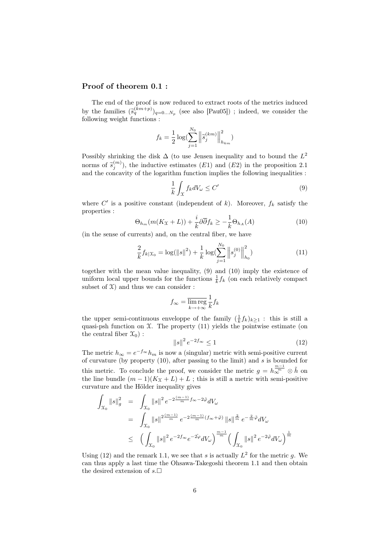#### Proof of theorem 0.1 :

The end of the proof is now reduced to extract roots of the metrics induced by the families  $(\tilde{s}_q^{(km+p)})_{q=0...N_p}$  (see also [Pau05]); indeed, we consider the following woight functions: following weight functions :

$$
f_k = \frac{1}{2} \log \left( \sum_{j=1}^{N_0} \left\| \hat{s}_j^{(km)} \right\|_{h_{km}}^2 \right)
$$

Possibly shrinking the disk  $\Delta$  (to use Jensen inequality and to bound the  $L^2$ norms of  $\tilde{s}_j^{(m)}$ ), the inductive estimates (E1) and (E2) in the proposition 2.1 and the concavity of the logarithm function implies the following inequalities :

$$
\frac{1}{k} \int_{\mathcal{X}} f_k dV_{\omega} \le C' \tag{9}
$$

where  $C'$  is a positive constant (independent of k). Moreover,  $f_k$  satisfy the properties :

$$
\Theta_{h_m}(m(K_{\mathfrak{X}}+L)) + \frac{i}{k}\partial\overline{\partial}f_k \ge -\frac{1}{k}\Theta_{h_A}(A) \tag{10}
$$

(in the sense of currents) and, on the central fiber, we have

$$
\frac{2}{k}f_{k|X_0} = \log(||s||^2) + \frac{1}{k}\log(\sum_{j=1}^{N_0} ||s_j^{(0)}||_{h_0}^2)
$$
\n(11)

together with the mean value inequality, (9) and (10) imply the existence of uniform local upper bounds for the functions  $\frac{1}{k} f_k$  (on each relatively compact subset of  $\mathfrak{X}$  and thus we can consider :

$$
f_{\infty} = \overline{\lim_{k \to +\infty}} \frac{1}{k} f_k
$$

the upper semi-continuous enveloppe of the family  $(\frac{1}{k}f_k)_{k\geq 1}$ : this is still a quasi-psh function on  $\mathfrak X$ . The property (11) yields the pointwise estimate (on the central fiber  $\mathfrak{X}_0$  :

$$
\|s\|^2 e^{-2f_{\infty}} \le 1\tag{12}
$$

The metric  $h_{\infty} = e^{-f_{\infty}} h_m$  is now a (singular) metric with semi-positive current of curvature (by property  $(10)$ , after passing to the limit) and s is bounded for this metric. To conclude the proof, we consider the metric  $g = h_{\infty}^{\frac{m-1}{m}} \otimes \tilde{h}$  on the line bundle  $(m-1)(K_X + L) + L$ ; this is still a metric with semi-positive curvature and the Hölder inequality gives

$$
\int_{\mathcal{X}_0} \|s\|_g^2 = \int_{\mathcal{X}_0} \|s\|^2 e^{-2\frac{(m-1)}{m}f_{\infty} - 2\tilde{\varphi}} dV_{\omega}
$$
\n
$$
= \int_{\mathcal{X}_0} \|s\|^2 \frac{(m-1)}{m} e^{-2\frac{(m-1)}{m}(f_{\infty} + \tilde{\varphi})} \|s\|_{m}^{\frac{2}{m}} e^{-\frac{2}{m}\tilde{\varphi}} dV_{\omega}
$$
\n
$$
\leq \left( \int_{\mathcal{X}_0} \|s\|^2 e^{-2f_{\infty}} e^{-2\tilde{\varphi}} dV_{\omega} \right)^{\frac{m-1}{m}} \left( \int_{\mathcal{X}_0} \|s\|^2 e^{-2\tilde{\varphi}} dV_{\omega} \right)^{\frac{1}{m}}
$$

Using (12) and the remark 1.1, we see that s is actually  $L^2$  for the metric g. We can thus apply a last time the Ohsawa-Takegoshi theorem 1.1 and then obtain the desired extension of  $s.\Box$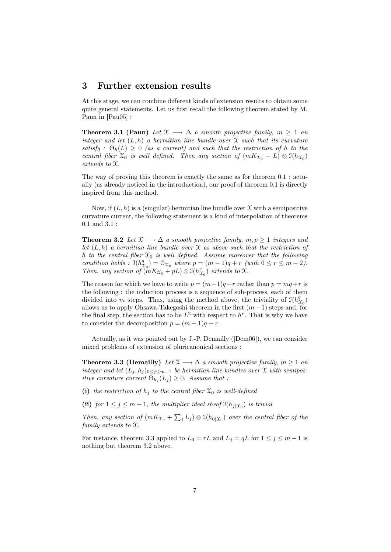### 3 Further extension results

At this stage, we can combine different kinds of extension results to obtain some quite general statements. Let us first recall the following theorem stated by M. Paun in [Pau05] :

**Theorem 3.1 (Paun)** Let  $\mathfrak{X} \longrightarrow \Delta$  a smooth projective family,  $m \geq 1$  and integer and let  $(L, h)$  a hermitian line bundle over X such that its curvature satisfy :  $\Theta_h(L) \geq 0$  (as a current) and such that the restriction of h to the central fiber  $\mathfrak{X}_0$  is well defined. Then any section of  $(mK_{\mathfrak{X}_0} + L) \otimes \mathfrak{I}(h_{\mathfrak{X}_0})$ extends to X.

The way of proving this theorem is exactly the same as for theorem 0.1 : actually (as already noticed in the introduction), our proof of theorem 0.1 is directly inspired from this method.

Now, if  $(L, h)$  is a (singular) hermitian line bundle over X with a semipositive curvature current, the following statement is a kind of interpolation of theorems 0.1 and 3.1 :

**Theorem 3.2** Let  $\mathfrak{X} \longrightarrow \Delta$  a smooth projective family,  $m, p \geq 1$  integers and let  $(L, h)$  a hermitian line bundle over  $\mathfrak X$  as above such that the restriction of h to the central fiber  $\mathfrak{X}_0$  is well defined. Assume moreover that the following condition holds :  $\mathfrak{I}(h_1^q)$  $\mathcal{L}_{\alpha}^{q}(\mathcal{L}_{\alpha}) = \mathcal{O}_{\mathcal{X}_{0}}$  where  $p = (m-1)q + r$  (with  $0 \leq r \leq m-2$ ). Then, any section of  $(mK_{\mathfrak{X}_0}+pL)\otimes \mathfrak{I}(h_{\mathfrak{X}_0}^r)$  extends to X.

The reason for which we have to write  $p = (m-1)q+r$  rather than  $p = mq+r$  is the following : the induction process is a sequence of sub-process, each of them divided into m steps. Thus, using the method above, the triviality of  $\mathfrak{I}(h_2^0)$  $\binom{q}{\chi_0}$ allows us to apply Ohsawa-Takegoshi theorem in the first  $(m-1)$  steps and, for the final step, the section has to be  $L^2$  with respect to  $h^r$ . That is why we have to consider the decomposition  $p = (m-1)q + r$ .

Actually, as it was pointed out by J.-P. Demailly ([Dem06]), we can consider mixed problems of extension of pluricanonical sections :

**Theorem 3.3 (Demailly)** Let  $\mathfrak{X} \longrightarrow \Delta$  a smooth projective family,  $m \geq 1$  and integer and let  $(L_j, h_j)_{0 \leq j \leq m-1}$  be hermitian line bundles over X with semipositive curvature current  $\Theta_{h_j}(L_j) \geq 0$ . Assume that :

(i) the restriction of  $h_i$  to the central fiber  $\mathfrak{X}_0$  is well-defined

(ii) for  $1 \leq j \leq m-1$ , the multiplier ideal sheaf  $\mathfrak{I}(h_{j}|\mathfrak{X}_{0})$  is trivial

Then, any section of  $(mK_{\mathfrak{X}_{0}} + \sum_{j} L_{j}) \otimes \mathfrak{I}(h_{0|\mathfrak{X}_{0}})$  over the central fiber of the family extends to X.

For instance, theorem 3.3 applied to  $L_0 = rL$  and  $L_j = qL$  for  $1 \le j \le m - 1$  is nothing but theorem 3.2 above.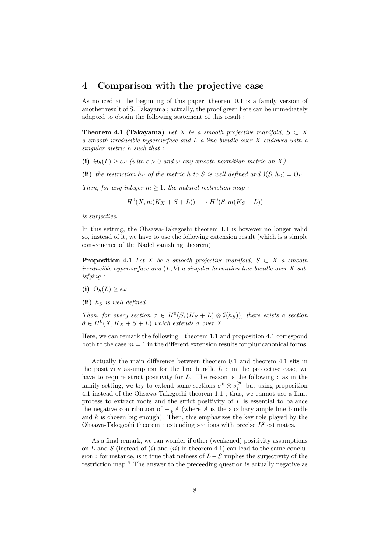### 4 Comparison with the projective case

As noticed at the beginning of this paper, theorem 0.1 is a family version of another result of S. Takayama ; actually, the proof given here can be immediately adapted to obtain the following statement of this result :

**Theorem 4.1 (Takayama)** Let X be a smooth projective manifold,  $S \subset X$ a smooth irreducible hypersurface and L a line bundle over X endowed with a singular metric h such that :

(i)  $\Theta_h(L) \geq \epsilon \omega$  (with  $\epsilon > 0$  and  $\omega$  any smooth hermitian metric on X)

(ii) the restriction  $h_S$  of the metric h to S is well defined and  $\mathfrak{I}(S, h_S) = \mathfrak{O}_S$ 

Then, for any integer  $m \geq 1$ , the natural restriction map:

 $H^0(X, m(K_X + S + L)) \longrightarrow H^0(S, m(K_S + L))$ 

is surjective.

In this setting, the Ohsawa-Takegoshi theorem 1.1 is however no longer valid so, instead of it, we have to use the following extension result (which is a simple consequence of the Nadel vanishing theorem) :

**Proposition 4.1** Let X be a smooth projective manifold,  $S \subset X$  a smooth irreducible hypersurface and  $(L, h)$  a singular hermitian line bundle over X satisfying :

- (i)  $\Theta_h(L) \geq \epsilon \omega$
- (ii)  $h<sub>S</sub>$  is well defined.

Then, for every section  $\sigma \in H^0(S, (K_S + L) \otimes \mathcal{I}(h_S))$ , there exists a section  $\tilde{\sigma} \in H^0(X, K_X + S + L)$  which extends  $\sigma$  over X.

Here, we can remark the following : theorem 1.1 and proposition 4.1 correspond both to the case  $m = 1$  in the different extension results for pluricanonical forms.

Actually the main difference between theorem 0.1 and theorem 4.1 sits in the positivity assumption for the line bundle  $L$ : in the projective case, we have to require strict positivity for  $L$ . The reason is the following : as in the family setting, we try to extend some sections  $\sigma^k \otimes s_j^{(p)}$  but using proposition 4.1 instead of the Ohsawa-Takegoshi theorem 1.1 ; thus, we cannot use a limit process to extract roots and the strict positivity of  $L$  is essential to balance the negative contribution of  $-\frac{1}{k}A$  (where A is the auxiliary ample line bundle and  $k$  is chosen big enough). Then, this emphasizes the key role played by the Ohsawa-Takegoshi theorem : extending sections with precise  $L^2$  estimates.

As a final remark, we can wonder if other (weakened) positivity assumptions on L and S (instead of  $(i)$  and  $(ii)$  in theorem 4.1) can lead to the same conclusion : for instance, is it true that nefness of  $L-S$  implies the surjectivity of the restriction map ? The answer to the preceeding question is actually negative as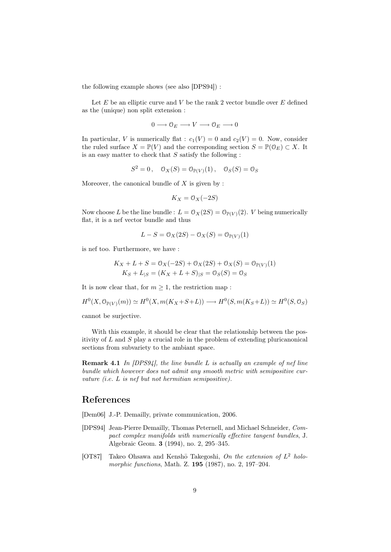the following example shows (see also [DPS94]) :

Let  $E$  be an elliptic curve and  $V$  be the rank 2 vector bundle over  $E$  defined as the (unique) non split extension :

$$
0\longrightarrow \mathcal{O}_E\longrightarrow V\longrightarrow \mathcal{O}_E\longrightarrow 0
$$

In particular, V is numerically flat :  $c_1(V) = 0$  and  $c_2(V) = 0$ . Now, consider the ruled surface  $X = \mathbb{P}(V)$  and the corresponding section  $S = \mathbb{P}(\mathbb{O}_E) \subset X$ . It is an easy matter to check that  $S$  satisfy the following :

$$
S^2 = 0, \quad \mathcal{O}_X(S) = \mathcal{O}_{\mathbb{P}(V)}(1), \quad \mathcal{O}_S(S) = \mathcal{O}_S
$$

Moreover, the canonical bundle of  $X$  is given by :

$$
K_X = \mathcal{O}_X(-2S)
$$

Now choose L be the line bundle :  $L = \mathcal{O}_X(2S) = \mathcal{O}_{\mathbb{P}(V)}(2)$ . V being numerically flat, it is a nef vector bundle and thus

$$
L - S = \mathcal{O}_X(2S) - \mathcal{O}_X(S) = \mathcal{O}_{\mathbb{P}(V)}(1)
$$

is nef too. Furthermore, we have :

$$
K_X + L + S = 0_X(-2S) + 0_X(2S) + 0_X(S) = 0_{\mathbb{P}(V)}(1)
$$
  

$$
K_S + L_{|S} = (K_X + L + S)_{|S} = 0_S(S) = 0_S
$$

It is now clear that, for  $m \geq 1$ , the restriction map :

$$
H^{0}(X, \mathcal{O}_{\mathbb{P}(V)}(m)) \simeq H^{0}(X, m(K_X + S + L)) \longrightarrow H^{0}(S, m(K_S + L)) \simeq H^{0}(S, \mathcal{O}_{S})
$$

cannot be surjective.

With this example, it should be clear that the relationship between the positivity of  $L$  and  $S$  play a crucial role in the problem of extending pluricanonical sections from subvariety to the ambiant space.

**Remark 4.1** In  $[DPS94]$ , the line bundle L is actually an example of nef line bundle which however does not admit any smooth metric with semipositive curvature (i.e. L is nef but not hermitian semipositive).

## References

[Dem06] J.-P. Demailly, private communication, 2006.

- [DPS94] Jean-Pierre Demailly, Thomas Peternell, and Michael Schneider, Compact complex manifolds with numerically effective tangent bundles, J. Algebraic Geom. 3 (1994), no. 2, 295–345.
- [OT87] Takeo Ohsawa and Kenshō Takegoshi, On the extension of  $L^2$  holomorphic functions, Math. Z. **195** (1987), no. 2, 197-204.